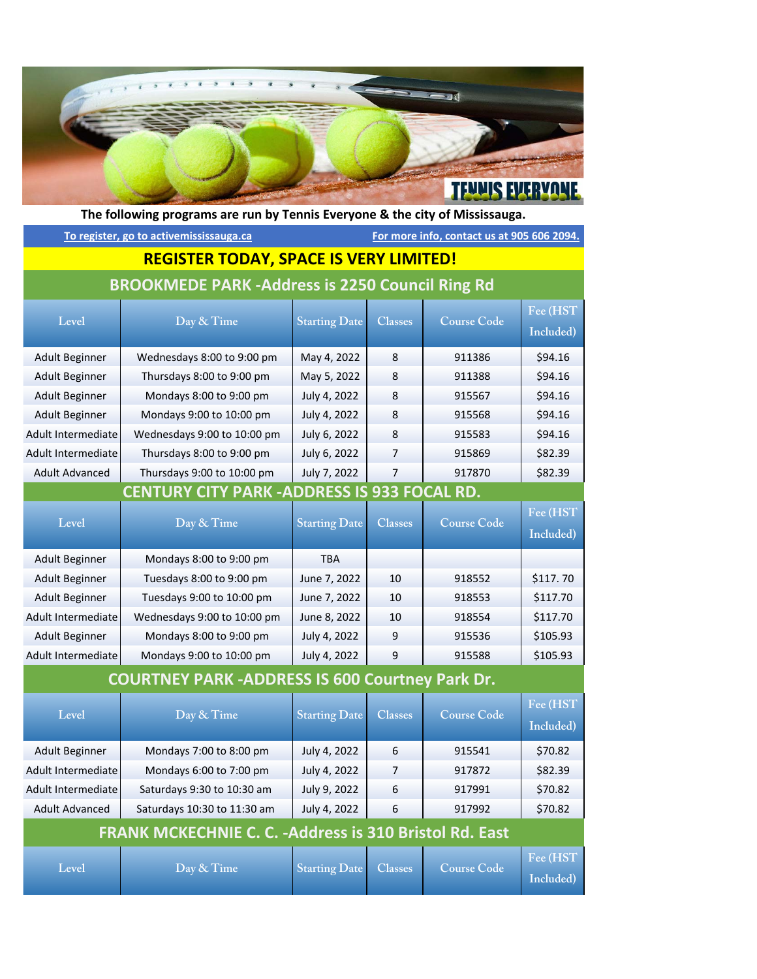

**Level Day & Time Starting Date Classes Course Code Fee (HST Included)** Adult Beginner | Wednesdays 8:00 to 9:00 pm | May 4, 2022 | 8 | 911386 | \$94.16 Adult Beginner | Thursdays 8:00 to 9:00 pm | May 5, 2022 | 8 | 911388 | \$94.16 Adult Beginner | Mondays 8:00 to 9:00 pm | July 4, 2022 | 8 | 915567 | \$94.16 Adult Beginner | Mondays 9:00 to 10:00 pm | July 4, 2022 | 8 | 915568 | \$94.16 Adult Intermediate Wednesdays 9:00 to 10:00 pm | July 6, 2022 | 8 | 915583 | \$94.16 Adult Intermediate | Thursdays 8:00 to 9:00 pm | July 6, 2022 | 7 | 915869 | \$82.39 Adult Advanced Thursdays 9:00 to 10:00 pm | July 7, 2022 7 | 917870 | \$82.39 **Level Day & Time Starting Date Classes Course Code Fee (HST Included)** Adult Beginner | Mondays 8:00 to 9:00 pm | TBA Adult Beginner Tuesdays 8:00 to 9:00 pm | June 7, 2022 | 10 | 918552 | \$117. 70 Adult Beginner Tuesdays 9:00 to 10:00 pm June 7, 2022 10 918553 \$117.70 Adult Intermediate Wednesdays 9:00 to 10:00 pm | June 8, 2022 | 10 | 918554 | \$117.70 Adult Beginner | Mondays 8:00 to 9:00 pm | July 4, 2022 | 9 | 915536 | \$105.93 Adult Intermediate Mondays 9:00 to 10:00 pm | July 4, 2022 | 9 | 915588 | \$105.93 **Level Day & Time Starting Date Classes Course Code Fee (HST Included)** Adult Beginner | Mondays 7:00 to 8:00 pm | July 4, 2022 | 6 | 915541 | \$70.82 Adult Intermediate Mondays 6:00 to 7:00 pm | July 4, 2022 | 7 | 917872 | \$82.39 Adult Intermediate Saturdays 9:30 to 10:30 am | July 9, 2022 | 6 | 917991 | \$70.82 Adult Advanced | Saturdays 10:30 to 11:30 am | July 4, 2022 | 6 | 917992 | \$70.82 **Level Day & Time Starting Date Classes Course Code Fee (HST Included) BROOKMEDE PARK ‐Address is 2250 Council Ring Rd CENTURY CITY PARK ‐ADDRESS IS 933 FOCAL RD. COURTNEY PARK ‐ADDRESS IS 600 Courtney Park Dr. FRANK MCKECHNIE C. C. ‐Address is 310 Bristol Rd. East The following programs are run by Tennis Everyone & the city of Mississauga. To register, go to activemississauga.ca For more info, contact us at 905 606 2094. REGISTER TODAY, SPACE IS VERY LIMITED!**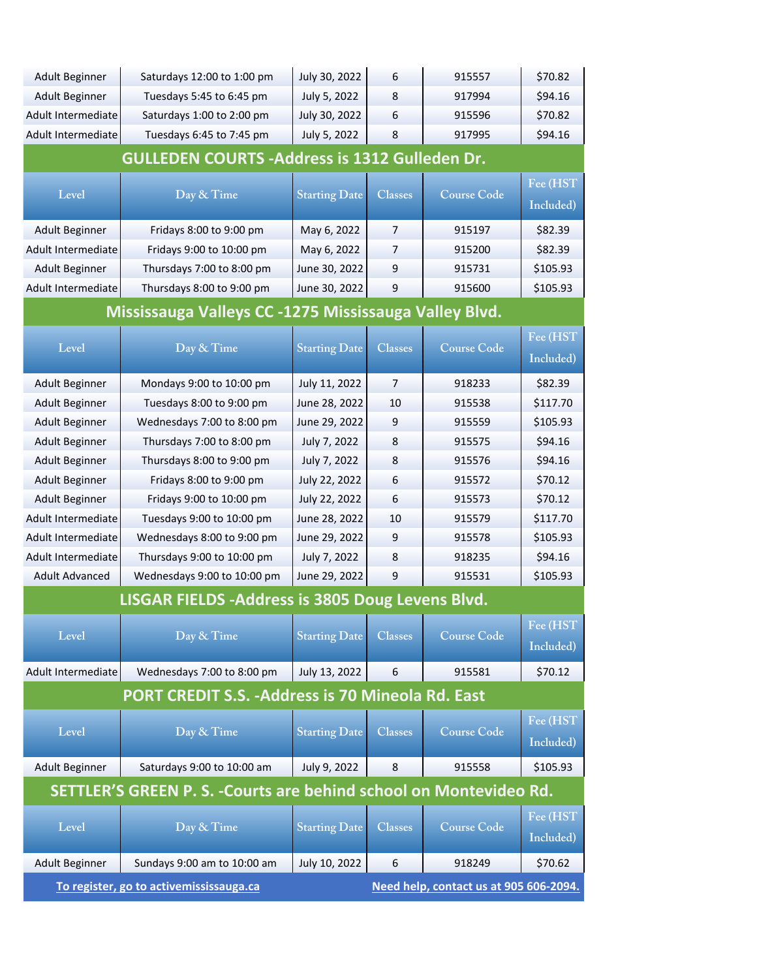| <b>Adult Beginner</b>                                                             | Saturdays 12:00 to 1:00 pm  | July 30, 2022        | 6                | 915557             | \$70.82             |
|-----------------------------------------------------------------------------------|-----------------------------|----------------------|------------------|--------------------|---------------------|
| Adult Beginner                                                                    | Tuesdays 5:45 to 6:45 pm    | July 5, 2022         | 8                | 917994             | \$94.16             |
| Adult Intermediate                                                                | Saturdays 1:00 to 2:00 pm   | July 30, 2022        | 6                | 915596             | \$70.82             |
| Adult Intermediate                                                                | Tuesdays 6:45 to 7:45 pm    | July 5, 2022         | 8                | 917995             | \$94.16             |
| <b>GULLEDEN COURTS - Address is 1312 Gulleden Dr.</b>                             |                             |                      |                  |                    |                     |
|                                                                                   |                             |                      |                  |                    | Fee (HST            |
| Level                                                                             | Day & Time                  | <b>Starting Date</b> | <b>Classes</b>   | <b>Course Code</b> | Included)           |
| Adult Beginner                                                                    | Fridays 8:00 to 9:00 pm     | May 6, 2022          | 7                | 915197             | \$82.39             |
| Adult Intermediate                                                                | Fridays 9:00 to 10:00 pm    | May 6, 2022          | 7                | 915200             | \$82.39             |
| <b>Adult Beginner</b>                                                             | Thursdays 7:00 to 8:00 pm   | June 30, 2022        | 9                | 915731             | \$105.93            |
| Adult Intermediate                                                                | Thursdays 8:00 to 9:00 pm   | June 30, 2022        | 9                | 915600             | \$105.93            |
| Mississauga Valleys CC -1275 Mississauga Valley Blvd.                             |                             |                      |                  |                    |                     |
|                                                                                   |                             |                      |                  |                    | Fee (HST            |
| Level                                                                             | Day & Time                  | <b>Starting Date</b> | <b>Classes</b>   | <b>Course Code</b> | Included)           |
|                                                                                   |                             |                      | $\overline{7}$   |                    |                     |
| <b>Adult Beginner</b>                                                             | Mondays 9:00 to 10:00 pm    | July 11, 2022        |                  | 918233             | \$82.39<br>\$117.70 |
| Adult Beginner                                                                    | Tuesdays 8:00 to 9:00 pm    | June 28, 2022        | 10               | 915538             |                     |
| <b>Adult Beginner</b>                                                             | Wednesdays 7:00 to 8:00 pm  | June 29, 2022        | 9                | 915559             | \$105.93            |
| <b>Adult Beginner</b>                                                             | Thursdays 7:00 to 8:00 pm   | July 7, 2022         | 8                | 915575             | \$94.16             |
| <b>Adult Beginner</b>                                                             | Thursdays 8:00 to 9:00 pm   | July 7, 2022         | 8                | 915576             | \$94.16             |
| <b>Adult Beginner</b>                                                             | Fridays 8:00 to 9:00 pm     | July 22, 2022        | 6                | 915572             | \$70.12             |
| Adult Beginner                                                                    | Fridays 9:00 to 10:00 pm    | July 22, 2022        | 6                | 915573             | \$70.12             |
| Adult Intermediate                                                                | Tuesdays 9:00 to 10:00 pm   | June 28, 2022        | 10               | 915579             | \$117.70            |
| Adult Intermediate                                                                | Wednesdays 8:00 to 9:00 pm  | June 29, 2022        | 9                | 915578             | \$105.93            |
| Adult Intermediate                                                                | Thursdays 9:00 to 10:00 pm  | July 7, 2022         | 8                | 918235             | \$94.16             |
| <b>Adult Advanced</b>                                                             | Wednesdays 9:00 to 10:00 pm | June 29, 2022        | 9                | 915531             | \$105.93            |
| LISGAR FIELDS - Address is 3805 Doug Levens Blvd.                                 |                             |                      |                  |                    |                     |
| Level                                                                             | Day & Time                  | <b>Starting Date</b> | <b>Classes</b>   | <b>Course Code</b> | Fee (HST            |
|                                                                                   |                             |                      |                  |                    | Included)           |
| Adult Intermediate                                                                | Wednesdays 7:00 to 8:00 pm  | July 13, 2022        | $\boldsymbol{6}$ | 915581             | \$70.12             |
| <b>PORT CREDIT S.S. - Address is 70 Mineola Rd. East</b>                          |                             |                      |                  |                    |                     |
|                                                                                   |                             |                      |                  |                    | Fee (HST            |
| Level                                                                             | Day & Time                  | <b>Starting Date</b> | <b>Classes</b>   | <b>Course Code</b> | Included)           |
| <b>Adult Beginner</b>                                                             | Saturdays 9:00 to 10:00 am  | July 9, 2022         | 8                | 915558             | \$105.93            |
| SETTLER'S GREEN P. S. - Courts are behind school on Montevideo Rd.                |                             |                      |                  |                    |                     |
|                                                                                   |                             |                      |                  |                    |                     |
| Level                                                                             | Day & Time                  | <b>Starting Date</b> | <b>Classes</b>   | <b>Course Code</b> | Fee (HST            |
|                                                                                   |                             |                      |                  |                    | Included)           |
| <b>Adult Beginner</b>                                                             | Sundays 9:00 am to 10:00 am | July 10, 2022        | 6                | 918249             | \$70.62             |
| To register, go to activemississauga.ca<br>Need help, contact us at 905 606-2094. |                             |                      |                  |                    |                     |